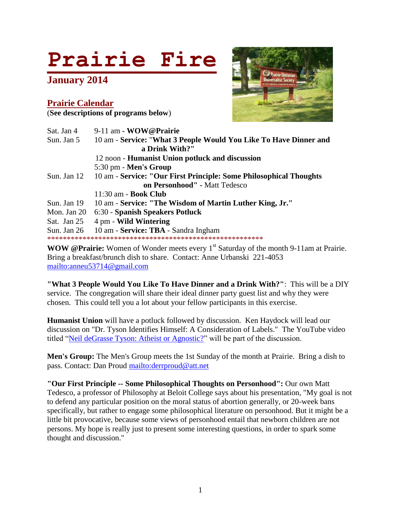# **Prairie Fire**

**January 2014**

#### **Prairie Calendar** (**See descriptions of programs below**)



| Sat. Jan 4    | 9-11 am - WOW@Prairie                                                          |
|---------------|--------------------------------------------------------------------------------|
| Sun. Jan 5    | 10 am - Service: "What 3 People Would You Like To Have Dinner and              |
|               | a Drink With?"                                                                 |
|               | 12 noon - Humanist Union potluck and discussion                                |
|               | 5:30 pm - Men's Group                                                          |
|               | Sun. Jan 12 10 am - Service: "Our First Principle: Some Philosophical Thoughts |
|               | on Personhood" - Matt Tedesco                                                  |
|               | $11:30$ am - <b>Book Club</b>                                                  |
| Sun. Jan 19   | 10 am - Service: "The Wisdom of Martin Luther King, Jr."                       |
| Mon. Jan 20   | 6:30 - Spanish Speakers Potluck                                                |
| Sat. Jan 25   | 4 pm - Wild Wintering                                                          |
| Sun. Jan $26$ | 10 am - Service: TBA - Sandra Ingham                                           |
|               |                                                                                |

**WOW @Prairie:** Women of Wonder meets every 1<sup>st</sup> Saturday of the month 9-11am at Prairie. Bring a breakfast/brunch dish to share. Contact: Anne Urbanski 221-4053 <mailto:anneu53714@gmail.com>

**"What 3 People Would You Like To Have Dinner and a Drink With?"**: This will be a DIY service. The congregation will share their ideal dinner party guest list and why they were chosen. This could tell you a lot about your fellow participants in this exercise.

**Humanist Union** will have a potluck followed by discussion. Ken Haydock will lead our discussion on "Dr. Tyson Identifies Himself: A Consideration of Labels." The YouTube video titled ["Neil deGrasse Tyson: Atheist or Agnostic?"](http://www.youtube.com/watch?v=CzSMC5rWvos) will be part of the discussion.

**Men's Group:** The Men's Group meets the 1st Sunday of the month at Prairie. Bring a dish to pass. Contact: Dan Proud<mailto:derrproud@att.net>

**"Our First Principle -- Some Philosophical Thoughts on Personhood":** Our own Matt Tedesco, a professor of Philosophy at Beloit College says about his presentation, "My goal is not to defend any particular position on the moral status of abortion generally, or 20-week bans specifically, but rather to engage some philosophical literature on personhood. But it might be a little bit provocative, because some views of personhood entail that newborn children are not persons. My hope is really just to present some interesting questions, in order to spark some thought and discussion."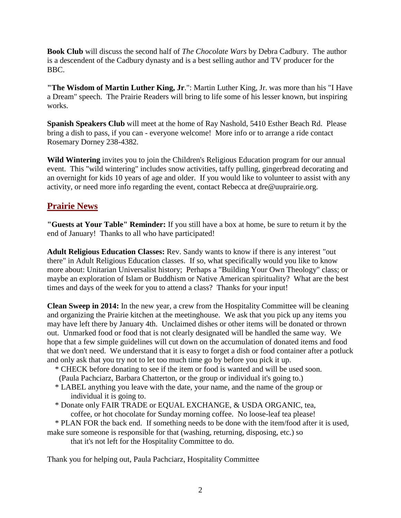**Book Club** will discuss the second half of *The Chocolate Wars* by Debra Cadbury. The author is a descendent of the Cadbury dynasty and is a best selling author and TV producer for the BBC.

**"The Wisdom of Martin Luther King, Jr**.": Martin Luther King, Jr. was more than his "I Have a Dream" speech. The Prairie Readers will bring to life some of his lesser known, but inspiring works.

**Spanish Speakers Club** will meet at the home of Ray Nashold, 5410 Esther Beach Rd. Please bring a dish to pass, if you can - everyone welcome! More info or to arrange a ride contact Rosemary Dorney 238-4382.

**Wild Wintering** invites you to join the Children's Religious Education program for our annual event. This "wild wintering" includes snow activities, taffy pulling, gingerbread decorating and an overnight for kids 10 years of age and older. If you would like to volunteer to assist with any activity, or need more info regarding the event, contact Rebecca at dre@uuprairie.org.

# **Prairie News**

**"Guests at Your Table" Reminder:** If you still have a box at home, be sure to return it by the end of January! Thanks to all who have participated!

**Adult Religious Education Classes:** Rev. Sandy wants to know if there is any interest "out there" in Adult Religious Education classes. If so, what specifically would you like to know more about: Unitarian Universalist history; Perhaps a "Building Your Own Theology" class; or maybe an exploration of Islam or Buddhism or Native American spirituality? What are the best times and days of the week for you to attend a class? Thanks for your input!

**Clean Sweep in 2014:** In the new year, a crew from the Hospitality Committee will be cleaning and organizing the Prairie kitchen at the meetinghouse. We ask that you pick up any items you may have left there by January 4th. Unclaimed dishes or other items will be donated or thrown out. Unmarked food or food that is not clearly designated will be handled the same way. We hope that a few simple guidelines will cut down on the accumulation of donated items and food that we don't need. We understand that it is easy to forget a dish or food container after a potluck and only ask that you try not to let too much time go by before you pick it up.

- \* CHECK before donating to see if the item or food is wanted and will be used soon.
- (Paula Pachciarz, Barbara Chatterton, or the group or individual it's going to.)
- \* LABEL anything you leave with the date, your name, and the name of the group or individual it is going to.
- \* Donate only FAIR TRADE or EQUAL EXCHANGE, & USDA ORGANIC, tea, coffee, or hot chocolate for Sunday morning coffee. No loose-leaf tea please!

\* PLAN FOR the back end. If something needs to be done with the item/food after it is used,

make sure someone is responsible for that (washing, returning, disposing, etc.) so

that it's not left for the Hospitality Committee to do.

Thank you for helping out, Paula Pachciarz, Hospitality Committee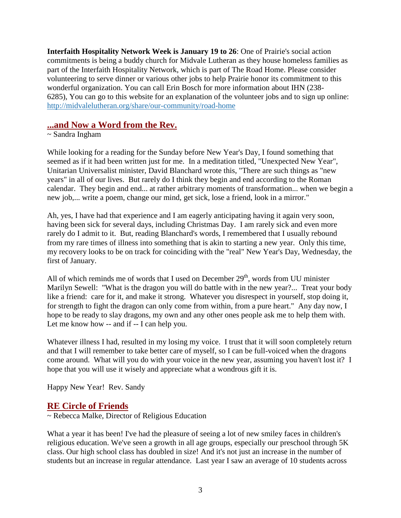**Interfaith Hospitality Network Week is January 19 to 26**: One of Prairie's social action commitments is being a buddy church for Midvale Lutheran as they house homeless families as part of the Interfaith Hospitality Network, which is part of The Road Home. Please consider volunteering to serve dinner or various other jobs to help Prairie honor its commitment to this wonderful organization. You can call Erin Bosch for more information about IHN (238- 6285), You can go to this website for an explanation of the volunteer jobs and to sign up online: <http://midvalelutheran.org/share/our-community/road-home>

## **...and Now a Word from the Rev.**

#### ~ Sandra Ingham

While looking for a reading for the Sunday before New Year's Day, I found something that seemed as if it had been written just for me. In a meditation titled, "Unexpected New Year", Unitarian Universalist minister, David Blanchard wrote this, "There are such things as "new years" in all of our lives. But rarely do I think they begin and end according to the Roman calendar. They begin and end... at rather arbitrary moments of transformation... when we begin a new job,... write a poem, change our mind, get sick, lose a friend, look in a mirror."

Ah, yes, I have had that experience and I am eagerly anticipating having it again very soon, having been sick for several days, including Christmas Day. I am rarely sick and even more rarely do I admit to it. But, reading Blanchard's words, I remembered that I usually rebound from my rare times of illness into something that is akin to starting a new year. Only this time, my recovery looks to be on track for coinciding with the "real" New Year's Day, Wednesday, the first of January.

All of which reminds me of words that I used on December  $29<sup>th</sup>$ , words from UU minister Marilyn Sewell: "What is the dragon you will do battle with in the new year?... Treat your body like a friend: care for it, and make it strong. Whatever you disrespect in yourself, stop doing it, for strength to fight the dragon can only come from within, from a pure heart." Any day now, I hope to be ready to slay dragons, my own and any other ones people ask me to help them with. Let me know how -- and if -- I can help you.

Whatever illness I had, resulted in my losing my voice. I trust that it will soon completely return and that I will remember to take better care of myself, so I can be full-voiced when the dragons come around. What will you do with your voice in the new year, assuming you haven't lost it? I hope that you will use it wisely and appreciate what a wondrous gift it is.

Happy New Year! Rev. Sandy

## **RE Circle of Friends**

~ Rebecca Malke, Director of Religious Education

What a year it has been! I've had the pleasure of seeing a lot of new smiley faces in children's religious education. We've seen a growth in all age groups, especially our preschool through 5K class. Our high school class has doubled in size! And it's not just an increase in the number of students but an increase in regular attendance. Last year I saw an average of 10 students across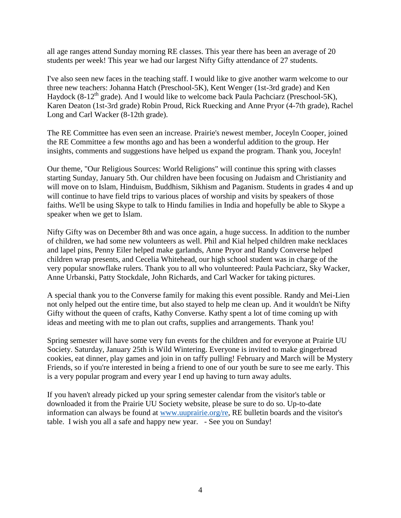all age ranges attend Sunday morning RE classes. This year there has been an average of 20 students per week! This year we had our largest Nifty Gifty attendance of 27 students.

I've also seen new faces in the teaching staff. I would like to give another warm welcome to our three new teachers: Johanna Hatch (Preschool-5K), Kent Wenger (1st-3rd grade) and Ken Haydock (8-12<sup>th</sup> grade). And I would like to welcome back Paula Pachciarz (Preschool-5K), Karen Deaton (1st-3rd grade) Robin Proud, Rick Ruecking and Anne Pryor (4-7th grade), Rachel Long and Carl Wacker (8-12th grade).

The RE Committee has even seen an increase. Prairie's newest member, Joceyln Cooper, joined the RE Committee a few months ago and has been a wonderful addition to the group. Her insights, comments and suggestions have helped us expand the program. Thank you, Joceyln!

Our theme, "Our Religious Sources: World Religions" will continue this spring with classes starting Sunday, January 5th. Our children have been focusing on Judaism and Christianity and will move on to Islam, Hinduism, Buddhism, Sikhism and Paganism. Students in grades 4 and up will continue to have field trips to various places of worship and visits by speakers of those faiths. We'll be using Skype to talk to Hindu families in India and hopefully be able to Skype a speaker when we get to Islam.

Nifty Gifty was on December 8th and was once again, a huge success. In addition to the number of children, we had some new volunteers as well. Phil and Kial helped children make necklaces and lapel pins, Penny Eiler helped make garlands, Anne Pryor and Randy Converse helped children wrap presents, and Cecelia Whitehead, our high school student was in charge of the very popular snowflake rulers. Thank you to all who volunteered: Paula Pachciarz, Sky Wacker, Anne Urbanski, Patty Stockdale, John Richards, and Carl Wacker for taking pictures.

A special thank you to the Converse family for making this event possible. Randy and Mei-Lien not only helped out the entire time, but also stayed to help me clean up. And it wouldn't be Nifty Gifty without the queen of crafts, Kathy Converse. Kathy spent a lot of time coming up with ideas and meeting with me to plan out crafts, supplies and arrangements. Thank you!

Spring semester will have some very fun events for the children and for everyone at Prairie UU Society. Saturday, January 25th is Wild Wintering. Everyone is invited to make gingerbread cookies, eat dinner, play games and join in on taffy pulling! February and March will be Mystery Friends, so if you're interested in being a friend to one of our youth be sure to see me early. This is a very popular program and every year I end up having to turn away adults.

If you haven't already picked up your spring semester calendar from the visitor's table or downloaded it from the Prairie UU Society website, please be sure to do so. Up-to-date information can always be found at [www.uuprairie.org/re,](http://www.uuprairie.org/re) RE bulletin boards and the visitor's table. I wish you all a safe and happy new year. - See you on Sunday!